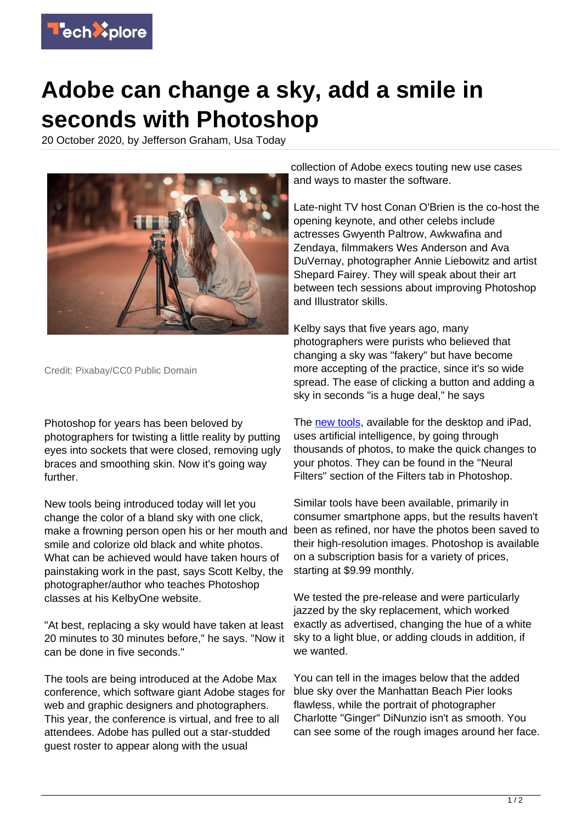

## **Adobe can change a sky, add a smile in seconds with Photoshop**

20 October 2020, by Jefferson Graham, Usa Today



Credit: Pixabay/CC0 Public Domain

Photoshop for years has been beloved by photographers for twisting a little reality by putting eyes into sockets that were closed, removing ugly braces and smoothing skin. Now it's going way further.

New tools being introduced today will let you change the color of a bland sky with one click, smile and colorize old black and white photos. What can be achieved would have taken hours of painstaking work in the past, says Scott Kelby, the photographer/author who teaches Photoshop classes at his KelbyOne website.

"At best, replacing a sky would have taken at least 20 minutes to 30 minutes before," he says. "Now it can be done in five seconds."

The tools are being introduced at the Adobe Max conference, which software giant Adobe stages for web and graphic designers and photographers. This year, the conference is virtual, and free to all attendees. Adobe has pulled out a star-studded guest roster to appear along with the usual

collection of Adobe execs touting new use cases and ways to master the software.

Late-night TV host Conan O'Brien is the co-host the opening keynote, and other celebs include actresses Gwyenth Paltrow, Awkwafina and Zendaya, filmmakers Wes Anderson and Ava DuVernay, photographer Annie Liebowitz and artist Shepard Fairey. They will speak about their art between tech sessions about improving Photoshop and Illustrator skills.

Kelby says that five years ago, many photographers were purists who believed that changing a sky was "fakery" but have become more accepting of the practice, since it's so wide spread. The ease of clicking a button and adding a sky in seconds "is a huge deal," he says

The [new tools,](https://techxplore.com/tags/new+tools/) available for the desktop and iPad, uses artificial intelligence, by going through thousands of photos, to make the quick changes to your photos. They can be found in the "Neural Filters" section of the Filters tab in Photoshop.

make a frowning person open his or her mouth and been as refined, nor have the photos been saved to Similar tools have been available, primarily in consumer smartphone apps, but the results haven't their high-resolution images. Photoshop is available on a subscription basis for a variety of prices, starting at \$9.99 monthly.

> We tested the pre-release and were particularly jazzed by the sky replacement, which worked exactly as advertised, changing the hue of a white sky to a light blue, or adding clouds in addition, if we wanted.

You can tell in the images below that the added blue sky over the Manhattan Beach Pier looks flawless, while the portrait of photographer Charlotte "Ginger" DiNunzio isn't as smooth. You can see some of the rough images around her face.